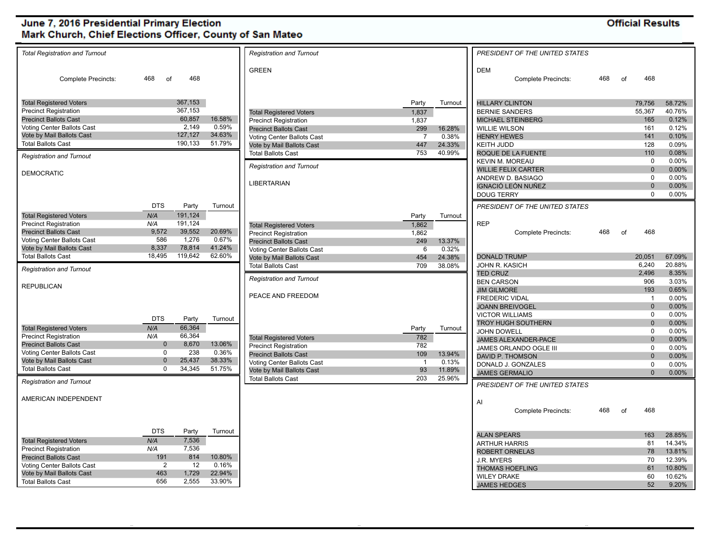### **Official Results**

| <b>Total Registration and Turnout</b> |             |         |         | <b>Registration and Turnout</b>                                |                |         | PRESIDENT OF THE UNITED STATES |     |    |                     |          |
|---------------------------------------|-------------|---------|---------|----------------------------------------------------------------|----------------|---------|--------------------------------|-----|----|---------------------|----------|
|                                       |             |         |         | <b>GREEN</b>                                                   |                |         | <b>DEM</b>                     |     |    |                     |          |
| <b>Complete Precincts:</b>            | 468<br>of   | 468     |         |                                                                |                |         | <b>Complete Precincts:</b>     | 468 | of | 468                 |          |
|                                       |             |         |         |                                                                |                |         |                                |     |    |                     |          |
| <b>Total Registered Voters</b>        |             | 367,153 |         |                                                                | Party          | Turnout | <b>HILLARY CLINTON</b>         |     |    | 79,756              | 58.72%   |
| <b>Precinct Registration</b>          |             | 367,153 |         | <b>Total Registered Voters</b>                                 | 1,837          |         | <b>BERNIE SANDERS</b>          |     |    | 55,367              | 40.76%   |
| <b>Precinct Ballots Cast</b>          |             | 60,857  | 16.58%  | <b>Precinct Registration</b>                                   | 1,837          |         | MICHAEL STEINBERG              |     |    | 165                 | 0.12%    |
| Voting Center Ballots Cast            |             | 2.149   | 0.59%   | <b>Precinct Ballots Cast</b>                                   | 299            | 16.28%  | <b>WILLIE WILSON</b>           |     |    | 161                 | 0.12%    |
| Vote by Mail Ballots Cast             |             | 127,127 | 34.63%  | Voting Center Ballots Cast                                     | $\overline{7}$ | 0.38%   | <b>HENRY HEWES</b>             |     |    | 141                 | 0.10%    |
| <b>Total Ballots Cast</b>             |             | 190,133 | 51.79%  | Vote by Mail Ballots Cast                                      | 447            | 24.33%  | KEITH JUDD                     |     |    | 128                 | 0.09%    |
| <b>Registration and Turnout</b>       |             |         |         | <b>Total Ballots Cast</b>                                      | 753            | 40.99%  | ROQUE DE LA FUENTE             |     |    | 110                 | 0.08%    |
|                                       |             |         |         |                                                                |                |         | <b>KEVIN M. MOREAU</b>         |     |    | $\mathbf 0$         | 0.00%    |
| <b>DEMOCRATIC</b>                     |             |         |         | <b>Registration and Turnout</b>                                |                |         | <b>WILLIE FELIX CARTER</b>     |     |    | $\overline{0}$      | $0.00\%$ |
|                                       |             |         |         |                                                                |                |         | ANDREW D. BASIAGO              |     |    | $\mathbf 0$         | 0.00%    |
|                                       |             |         |         | <b>LIBERTARIAN</b>                                             |                |         | IGNACIÓ LEÓN NUÑEZ             |     |    | $\Omega$            | 0.00%    |
|                                       |             |         |         |                                                                |                |         | <b>DOUG TERRY</b>              |     |    | $\mathbf 0$         | $0.00\%$ |
|                                       | <b>DTS</b>  | Party   | Turnout |                                                                |                |         | PRESIDENT OF THE UNITED STATES |     |    |                     |          |
| <b>Total Registered Voters</b>        | N/A         | 191,124 |         |                                                                | Party          | Turnout |                                |     |    |                     |          |
| <b>Precinct Registration</b>          | N/A         | 191,124 |         | <b>Total Registered Voters</b>                                 | 1,862          |         | <b>REP</b>                     |     |    |                     |          |
| <b>Precinct Ballots Cast</b>          | 9,572       | 39,552  | 20.69%  | <b>Precinct Registration</b>                                   | 1,862          |         | <b>Complete Precincts:</b>     | 468 | of | 468                 |          |
| Voting Center Ballots Cast            | 586         | 1,276   | 0.67%   | <b>Precinct Ballots Cast</b>                                   | 249            | 13.37%  |                                |     |    |                     |          |
| Vote by Mail Ballots Cast             | 8,337       | 78,814  | 41.24%  | Voting Center Ballots Cast                                     | 6              | 0.32%   |                                |     |    |                     |          |
| <b>Total Ballots Cast</b>             | 18.495      | 119.642 | 62.60%  | Vote by Mail Ballots Cast                                      | 454            | 24.38%  | <b>DONALD TRUMP</b>            |     |    | 20,051              | 67.09%   |
| <b>Registration and Turnout</b>       |             |         |         | <b>Total Ballots Cast</b>                                      | 709            | 38.08%  | JOHN R. KASICH                 |     |    | 6,240               | 20.88%   |
|                                       |             |         |         |                                                                |                |         | <b>TED CRUZ</b>                |     |    | 2,496               | 8.35%    |
| <b>REPUBLICAN</b>                     |             |         |         | <b>Registration and Turnout</b>                                |                |         | <b>BEN CARSON</b>              |     |    | 906                 | 3.03%    |
|                                       |             |         |         |                                                                |                |         | <b>JIM GILMORE</b>             |     |    | 193                 | 0.65%    |
|                                       |             |         |         | PEACE AND FREEDOM                                              |                |         | <b>FREDERIC VIDAL</b>          |     |    | $\overline{1}$      | 0.00%    |
|                                       |             |         |         |                                                                |                |         | <b>JOANN BREIVOGEL</b>         |     |    | $\overline{0}$      | 0.00%    |
|                                       | <b>DTS</b>  | Party   | Turnout |                                                                |                |         | <b>VICTOR WILLIAMS</b>         |     |    | $\ddot{\mathbf{0}}$ | $0.00\%$ |
| <b>Total Registered Voters</b>        | N/A         | 66,364  |         |                                                                | Party          | Turnout | <b>TROY HUGH SOUTHERN</b>      |     |    | $\overline{0}$      | 0.00%    |
| <b>Precinct Registration</b>          | N/A         | 66,364  |         |                                                                | 782            |         | <b>JOHN DOWELL</b>             |     |    | $\Omega$            | $0.00\%$ |
| <b>Precinct Ballots Cast</b>          | $\mathbf 0$ | 8,670   | 13.06%  | <b>Total Registered Voters</b><br><b>Precinct Registration</b> | 782            |         | JAMES ALEXANDER-PACE           |     |    | $\mathbf{0}$        | 0.00%    |
| Voting Center Ballots Cast            | $\mathbf 0$ | 238     | 0.36%   | <b>Precinct Ballots Cast</b>                                   | 109            | 13.94%  | JAMES ORLANDO OGLE III         |     |    | $\Omega$            | $0.00\%$ |
| Vote by Mail Ballots Cast             | $\Omega$    | 25,437  | 38.33%  | Voting Center Ballots Cast                                     | $\overline{1}$ | 0.13%   | DAVID P. THOMSON               |     |    | $\Omega$            | $0.00\%$ |
| <b>Total Ballots Cast</b>             | 0           | 34,345  | 51.75%  | Vote by Mail Ballots Cast                                      | 93             | 11.89%  | DONALD J. GONZALES             |     |    | $\Omega$            | 0.00%    |
|                                       |             |         |         | <b>Total Ballots Cast</b>                                      | 203            | 25.96%  | <b>JAMES GERMALIO</b>          |     |    | $\overline{0}$      | $0.00\%$ |
| <b>Registration and Turnout</b>       |             |         |         |                                                                |                |         | PRESIDENT OF THE UNITED STATES |     |    |                     |          |
|                                       |             |         |         |                                                                |                |         |                                |     |    |                     |          |
| AMERICAN INDEPENDENT                  |             |         |         |                                                                |                |         | AI                             |     |    |                     |          |
|                                       |             |         |         |                                                                |                |         | <b>Complete Precincts:</b>     | 468 | of | 468                 |          |
|                                       |             |         |         |                                                                |                |         |                                |     |    |                     |          |
|                                       | <b>DTS</b>  | Party   | Turnout |                                                                |                |         |                                |     |    |                     |          |
| <b>Total Registered Voters</b>        | N/A         | 7,536   |         |                                                                |                |         | <b>ALAN SPEARS</b>             |     |    | 163                 | 28.85%   |
| <b>Precinct Registration</b>          | N/A         | 7,536   |         |                                                                |                |         | <b>ARTHUR HARRIS</b>           |     |    | 81                  | 14.34%   |
| <b>Precinct Ballots Cast</b>          | 191         | 814     | 10.80%  |                                                                |                |         | <b>ROBERT ORNELAS</b>          |     |    | 78                  | 13.81%   |
| Voting Center Ballots Cast            | 2           | 12      | 0.16%   |                                                                |                |         | J.R. MYERS                     |     |    | 70                  | 12.39%   |
| Vote by Mail Ballots Cast             | 463         | 1,729   | 22.94%  |                                                                |                |         | <b>THOMAS HOEFLING</b>         |     |    | 61                  | 10.80%   |
| <b>Total Ballots Cast</b>             | 656         | 2,555   | 33.90%  |                                                                |                |         | <b>WILEY DRAKE</b>             |     |    | 60                  | 10.62%   |
|                                       |             |         |         |                                                                |                |         | <b>JAMES HEDGES</b>            |     |    | 52                  | 9.20%    |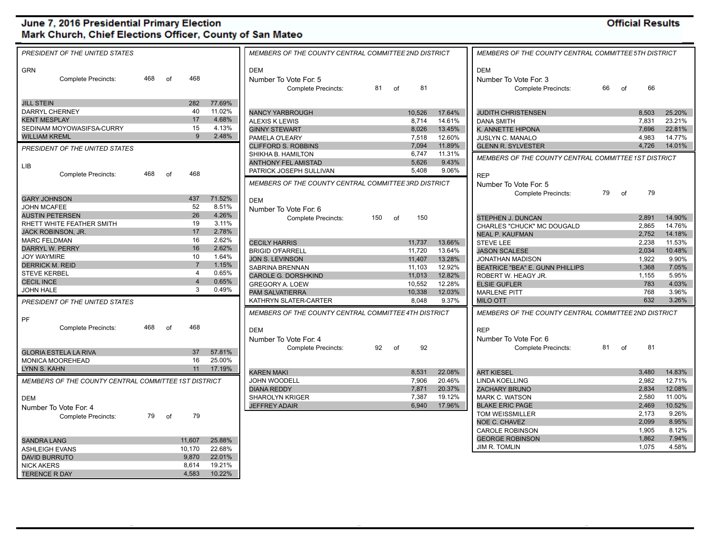#### **Official Results**

| PRESIDENT OF THE UNITED STATES                       |     |       |                         |        |                                                                   | MEMBERS OF THE COUNTY CENTRAL COMMITTEE 5TH DISTRICT<br>MEMBERS OF THE COUNTY CENTRAL COMMITTEE 2ND DISTRICT |    |        |        |                                                                   |    |    |       |        |
|------------------------------------------------------|-----|-------|-------------------------|--------|-------------------------------------------------------------------|--------------------------------------------------------------------------------------------------------------|----|--------|--------|-------------------------------------------------------------------|----|----|-------|--------|
| <b>GRN</b><br><b>Complete Precincts:</b>             | 468 | of    | 468                     |        | <b>DEM</b><br>Number To Vote For: 5<br><b>Complete Precincts:</b> | 81                                                                                                           | of | 81     |        | <b>DEM</b><br>Number To Vote For: 3<br><b>Complete Precincts:</b> | 66 | of | 66    |        |
| <b>JILL STEIN</b>                                    |     |       | 282                     | 77.69% |                                                                   |                                                                                                              |    |        |        |                                                                   |    |    |       |        |
| <b>DARRYL CHERNEY</b>                                |     |       | 40                      | 11.02% | <b>NANCY YARBROUGH</b>                                            |                                                                                                              |    | 10,526 | 17.64% | <b>JUDITH CHRISTENSEN</b>                                         |    |    | 8.503 | 25.20% |
| <b>KENT MESPLAY</b>                                  |     |       | 17                      | 4.68%  | <b>ALEXIS K LEWIS</b>                                             |                                                                                                              |    | 8,714  | 14.61% | <b>DANA SMITH</b>                                                 |    |    | 7,831 | 23.21% |
| SEDINAM MOYOWASIFSA-CURRY                            |     |       | 15                      | 4.13%  | <b>GINNY STEWART</b>                                              |                                                                                                              |    | 8.026  | 13.45% | K. ANNETTE HIPONA                                                 |    |    | 7.696 | 22.81% |
| <b>WILLIAM KREML</b>                                 |     |       | $\mathbf{Q}$            | 2.48%  | PAMELA O'LEARY                                                    |                                                                                                              |    | 7,518  | 12.60% | <b>JUSLYN C. MANALO</b>                                           |    |    | 4,983 | 14.77% |
| PRESIDENT OF THE UNITED STATES                       |     |       |                         |        | <b>CLIFFORD S. ROBBINS</b>                                        |                                                                                                              |    | 7.094  | 11.89% | <b>GLENN R. SYLVESTER</b>                                         |    |    | 4.726 | 14.01% |
|                                                      |     |       |                         |        | SHIKHA B. HAMILTON                                                |                                                                                                              |    | 6,747  | 11.31% | MEMBERS OF THE COUNTY CENTRAL COMMITTEE 1ST DISTRICT              |    |    |       |        |
| <b>LIB</b>                                           |     |       |                         |        | <b>ANTHONY FEL AMISTAD</b>                                        |                                                                                                              |    | 5,626  | 9.43%  |                                                                   |    |    |       |        |
|                                                      | 468 | of    | 468                     |        | PATRICK JOSEPH SULLIVAN                                           |                                                                                                              |    | 5.408  | 9.06%  |                                                                   |    |    |       |        |
| <b>Complete Precincts:</b>                           |     |       |                         |        |                                                                   |                                                                                                              |    |        |        | <b>REP</b>                                                        |    |    |       |        |
|                                                      |     |       |                         |        | MEMBERS OF THE COUNTY CENTRAL COMMITTEE 3RD DISTRICT              |                                                                                                              |    |        |        | Number To Vote For: 5                                             |    |    |       |        |
|                                                      |     |       | 437                     | 71.52% |                                                                   |                                                                                                              |    |        |        | Complete Precincts:                                               | 79 | ∩f | 79    |        |
| <b>GARY JOHNSON</b><br><b>JOHN MCAFEE</b>            |     |       | 52                      | 8.51%  | <b>DEM</b>                                                        |                                                                                                              |    |        |        |                                                                   |    |    |       |        |
|                                                      |     |       | 26                      | 4.26%  | Number To Vote For: 6                                             |                                                                                                              |    |        |        |                                                                   |    |    |       |        |
| <b>AUSTIN PETERSEN</b>                               |     |       |                         |        | <b>Complete Precincts:</b>                                        | 150                                                                                                          | of | 150    |        | STEPHEN J. DUNCAN                                                 |    |    | 2.891 | 14.90% |
| RHETT WHITE FEATHER SMITH                            |     |       | 19                      | 3.11%  |                                                                   |                                                                                                              |    |        |        | CHARLES "CHUCK" MC DOUGALD                                        |    |    | 2,865 | 14.76% |
| JACK ROBINSON, JR.                                   |     |       | 17                      | 2.78%  |                                                                   |                                                                                                              |    |        |        | <b>NEAL P. KAUFMAN</b>                                            |    |    | 2,752 | 14.18% |
| <b>MARC FELDMAN</b>                                  |     |       | 16                      | 2.62%  | <b>CECILY HARRIS</b>                                              |                                                                                                              |    | 11,737 | 13.66% | <b>STEVE LEE</b>                                                  |    |    | 2,238 | 11.53% |
| <b>DARRYL W. PERRY</b>                               |     |       | 16                      | 2.62%  | <b>BRIGID O'FARRELL</b>                                           |                                                                                                              |    | 11.720 | 13.64% | <b>JASON SCALESE</b>                                              |    |    | 2.034 | 10.48% |
| JOY WAYMIRE                                          |     |       | 10                      | 1.64%  | <b>JON S. LEVINSON</b>                                            |                                                                                                              |    | 11,407 | 13.28% | <b>JONATHAN MADISON</b>                                           |    |    | 1,922 | 9.90%  |
| <b>DERRICK M. REID</b>                               |     |       | $\overline{7}$          | 1.15%  | SABRINA BRENNAN                                                   |                                                                                                              |    | 11,103 | 12.92% | <b>BEATRICE "BEA" E. GUNN PHILLIPS</b>                            |    |    | 1,368 | 7.05%  |
| <b>STEVE KERBEL</b>                                  |     |       | 4                       | 0.65%  | <b>CAROLE G. DORSHKIND</b>                                        |                                                                                                              |    | 11,013 | 12.82% | ROBERT W. HEAGY JR.                                               |    |    | 1,155 | 5.95%  |
| <b>CECIL INCE</b>                                    |     |       | $\overline{\mathbf{4}}$ | 0.65%  | <b>GREGORY A. LOEW</b>                                            |                                                                                                              |    | 10,552 | 12.28% | <b>ELSIE GUFLER</b>                                               |    |    | 783   | 4.03%  |
| <b>JOHN HALE</b>                                     |     |       | 3                       | 0.49%  | <b>PAM SALVATIERRA</b>                                            |                                                                                                              |    | 10,338 | 12.03% | <b>MARLENE PITT</b>                                               |    |    | 768   | 3.96%  |
| PRESIDENT OF THE UNITED STATES                       |     |       |                         |        | KATHRYN SLATER-CARTER                                             |                                                                                                              |    | 8,048  | 9.37%  | <b>MILO OTT</b>                                                   |    |    | 632   | 3.26%  |
|                                                      |     |       |                         |        | MEMBERS OF THE COUNTY CENTRAL COMMITTEE 4TH DISTRICT              |                                                                                                              |    |        |        | MEMBERS OF THE COUNTY CENTRAL COMMITTEE 2ND DISTRICT              |    |    |       |        |
| PF                                                   | 468 |       | 468                     |        |                                                                   |                                                                                                              |    |        |        |                                                                   |    |    |       |        |
| <b>Complete Precincts:</b>                           |     | 0f    |                         |        | <b>DEM</b>                                                        |                                                                                                              |    |        |        | <b>REP</b>                                                        |    |    |       |        |
|                                                      |     |       |                         |        | Number To Vote For: 4                                             |                                                                                                              |    |        |        | Number To Vote For: 6                                             |    |    |       |        |
| <b>GLORIA ESTELA LA RIVA</b>                         |     |       | 37                      | 57.81% | <b>Complete Precincts:</b>                                        | 92 of                                                                                                        |    | 92     |        | <b>Complete Precincts:</b>                                        | 81 | of | 81    |        |
| MONICA MOOREHEAD                                     |     |       | 16                      | 25.00% |                                                                   |                                                                                                              |    |        |        |                                                                   |    |    |       |        |
|                                                      |     |       |                         |        |                                                                   |                                                                                                              |    |        |        |                                                                   |    |    |       |        |
| LYNN S. KAHN                                         |     |       | 11                      | 17.19% | <b>KAREN MAKI</b>                                                 |                                                                                                              |    | 8,531  | 22.08% | <b>ART KIESEL</b>                                                 |    |    | 3.480 | 14.83% |
| MEMBERS OF THE COUNTY CENTRAL COMMITTEE 1ST DISTRICT |     |       |                         |        | <b>JOHN WOODELL</b>                                               |                                                                                                              |    | 7,906  | 20.46% | <b>LINDA KOELLING</b>                                             |    |    | 2,982 | 12.71% |
|                                                      |     |       |                         |        | <b>DIANA REDDY</b>                                                |                                                                                                              |    | 7,871  | 20.37% | <b>ZACHARY BRUNO</b>                                              |    |    | 2.834 | 12.08% |
| <b>DEM</b>                                           |     |       |                         |        | <b>SHAROLYN KRIGER</b>                                            |                                                                                                              |    | 7,387  | 19.12% | <b>MARK C. WATSON</b>                                             |    |    | 2,580 | 11.00% |
| Number To Vote For: 4                                |     |       |                         |        | <b>JEFFREY ADAIR</b>                                              |                                                                                                              |    | 6,940  | 17.96% | <b>BLAKE ERIC PAGE</b>                                            |    |    | 2,469 | 10.52% |
| <b>Complete Precincts:</b>                           |     | 79 of | 79                      |        |                                                                   |                                                                                                              |    |        |        | <b>TOM WEISSMILLER</b>                                            |    |    | 2.173 | 9.26%  |
|                                                      |     |       |                         |        |                                                                   |                                                                                                              |    |        |        | NOE C. CHAVEZ                                                     |    |    | 2,099 | 8.95%  |
|                                                      |     |       |                         |        |                                                                   |                                                                                                              |    |        |        | <b>CAROLE ROBINSON</b>                                            |    |    | 1.905 | 8.12%  |
| <b>SANDRA LANG</b>                                   |     |       | 11.607                  | 25.88% |                                                                   |                                                                                                              |    |        |        | <b>GEORGE ROBINSON</b>                                            |    |    | 1,862 | 7.94%  |
| <b>ASHLEIGH EVANS</b>                                |     |       | 10,170                  | 22.68% |                                                                   |                                                                                                              |    |        |        | JIM R. TOMLIN                                                     |    |    | 1.075 | 4.58%  |
| <b>DAVID BURRUTO</b>                                 |     |       | 9.870                   | 22.01% |                                                                   |                                                                                                              |    |        |        |                                                                   |    |    |       |        |
|                                                      |     |       |                         |        |                                                                   |                                                                                                              |    |        |        |                                                                   |    |    |       |        |
| <b>NICK AKERS</b>                                    |     |       | 8,614                   | 19.21% |                                                                   |                                                                                                              |    |        |        |                                                                   |    |    |       |        |
| <b>TERENCE R DAY</b>                                 |     |       | 4.583                   | 10.22% |                                                                   |                                                                                                              |    |        |        |                                                                   |    |    |       |        |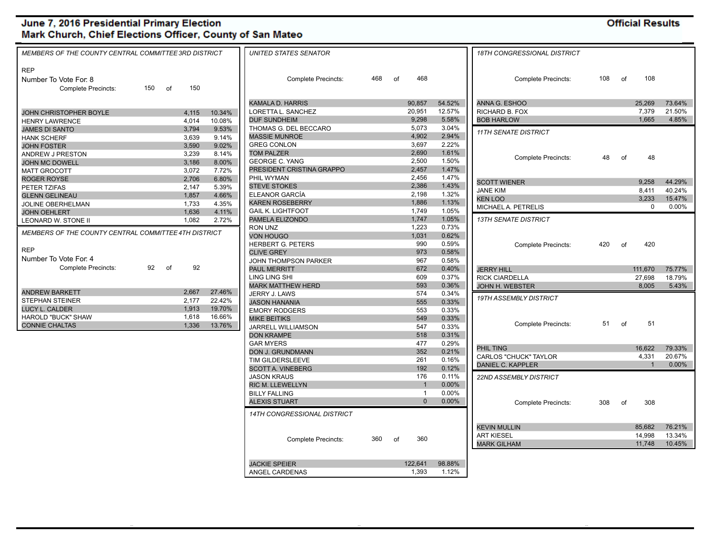...

**Official Results** 

| MEMBERS OF THE COUNTY CENTRAL COMMITTEE 3RD DISTRICT |                 | <b>UNITED STATES SENATOR</b>              |     |    |                |                | <b>18TH CONGRESSIONAL DISTRICT</b> |     |    |              |        |
|------------------------------------------------------|-----------------|-------------------------------------------|-----|----|----------------|----------------|------------------------------------|-----|----|--------------|--------|
| <b>REP</b><br>Number To Vote For: 8                  |                 | <b>Complete Precincts:</b>                | 468 | 0f | 468            |                | <b>Complete Precincts:</b>         | 108 | of | 108          |        |
| <b>Complete Precincts:</b><br>150 of                 | 150             |                                           |     |    |                |                |                                    |     |    |              |        |
|                                                      |                 | <b>KAMALA D. HARRIS</b>                   |     |    | 90,857         | 54.52%         | ANNA G. ESHOO                      |     |    | 25,269       | 73.64% |
| 4,115<br>JOHN CHRISTOPHER BOYLE                      | 10.34%          | LORETTA L. SANCHEZ                        |     |    | 20,951         | 12.57%         | RICHARD B. FOX                     |     |    | 7,379        | 21.50% |
| 4,014<br><b>HENRY LAWRENCE</b>                       | 10.08%          | <b>DUF SUNDHEIM</b>                       |     |    | 9,298          | 5.58%          | <b>BOB HARLOW</b>                  |     |    | 1.665        | 4.85%  |
| <b>JAMES DI SANTO</b><br>3,794                       | 9.53%           | THOMAS G. DEL BECCARO                     |     |    | 5,073          | 3.04%          | <b>11TH SENATE DISTRICT</b>        |     |    |              |        |
| 3.639<br><b>HANK SCHERF</b>                          | 9.14%           | <b>MASSIE MUNROE</b>                      |     |    | 4,902          | 2.94%          |                                    |     |    |              |        |
| 3,590<br><b>JOHN FOSTER</b>                          | 9.02%           | <b>GREG CONLON</b>                        |     |    | 3,697          | 2.22%          |                                    |     |    |              |        |
| 3,239<br><b>ANDREW J PRESTON</b>                     | 8.14%           | <b>TOM PALZER</b>                         |     |    | 2,690          | 1.61%          | <b>Complete Precincts:</b>         | 48  | of | 48           |        |
| 3,186<br><b>JOHN MC DOWELL</b>                       | 8.00%           | <b>GEORGE C. YANG</b>                     |     |    | 2,500          | 1.50%          |                                    |     |    |              |        |
| 3,072<br><b>MATT GROCOTT</b>                         | 7.72%           | PRESIDENT CRISTINA GRAPPO                 |     |    | 2,457          | 1.47%          |                                    |     |    |              |        |
| 2,706<br><b>ROGER ROYSE</b>                          | 6.80%           | PHIL WYMAN                                |     |    | 2,456          | 1.47%          | <b>SCOTT WIENER</b>                |     |    | 9,258        | 44.29% |
| 2,147<br>PETER TZIFAS                                | 5.39%           | <b>STEVE STOKES</b>                       |     |    | 2,386          | 1.43%          | <b>JANE KIM</b>                    |     |    | 8,411        | 40.24% |
| 1,857<br><b>GLENN GELINEAU</b>                       | 4.66%           | ELEANOR GARCÍA                            |     |    | 2,198          | 1.32%          | <b>KEN LOO</b>                     |     |    | 3.233        | 15.47% |
| 1,733<br>JOLINE OBERHELMAN                           | 4.35%           | <b>KAREN ROSEBERRY</b>                    |     |    | 1,886          | 1.13%          | MICHAEL A. PETRELIS                |     |    | $\mathbf 0$  | 0.00%  |
| <b>JOHN OEHLERT</b><br>1,636                         | 4.11%           | <b>GAIL K. LIGHTFOOT</b>                  |     |    | 1,749          | 1.05%          |                                    |     |    |              |        |
| LEONARD W. STONE II                                  | 1,082<br>2.72%  | PAMELA ELIZONDO                           |     |    | 1,747          | 1.05%          | <b>13TH SENATE DISTRICT</b>        |     |    |              |        |
| MEMBERS OF THE COUNTY CENTRAL COMMITTEE 4TH DISTRICT |                 | RON UNZ                                   |     |    | 1,223          | 0.73%          |                                    |     |    |              |        |
|                                                      |                 | <b>VON HOUGO</b>                          |     |    | 1,031          | 0.62%          |                                    |     |    |              |        |
| <b>REP</b>                                           |                 | <b>HERBERT G. PETERS</b>                  |     |    | 990            | 0.59%          | <b>Complete Precincts:</b>         | 420 | of | 420          |        |
| Number To Vote For: 4                                |                 | <b>CLIVE GREY</b>                         |     |    | 973            | 0.58%          |                                    |     |    |              |        |
| 92 of<br><b>Complete Precincts:</b>                  | 92              | JOHN THOMPSON PARKER                      |     |    | 967            | 0.58%          |                                    |     |    |              |        |
|                                                      |                 | <b>PAUL MERRITT</b>                       |     |    | 672<br>609     | 0.40%          | <b>JERRY HILL</b>                  |     |    | 111,670      | 75.77% |
|                                                      |                 | <b>LING LING SHI</b>                      |     |    |                | 0.37%          | <b>RICK CIARDELLA</b>              |     |    | 27,698       | 18.79% |
| <b>ANDREW BARKETT</b><br>2,667                       | 27.46%          | <b>MARK MATTHEW HERD</b><br>JERRY J. LAWS |     |    | 593<br>574     | 0.36%<br>0.34% | <b>JOHN H. WEBSTER</b>             |     |    | 8,005        | 5.43%  |
| 2,177<br>STEPHAN STEINER                             | 22.42%          | <b>JASON HANANIA</b>                      |     |    | 555            | 0.33%          | 19TH ASSEMBLY DISTRICT             |     |    |              |        |
| <b>LUCY L. CALDER</b>                                | 19.70%<br>1,913 | <b>EMORY RODGERS</b>                      |     |    | 553            | 0.33%          |                                    |     |    |              |        |
| <b>HAROLD "BUCK" SHAW</b><br>1,618                   | 16.66%          | <b>MIKE BEITIKS</b>                       |     |    | 549            | 0.33%          |                                    |     |    |              |        |
| <b>CONNIE CHALTAS</b>                                | 1,336<br>13.76% | JARRELL WILLIAMSON                        |     |    | 547            | 0.33%          | <b>Complete Precincts:</b>         | 51  | of | 51           |        |
|                                                      |                 | <b>DON KRAMPE</b>                         |     |    | 518            | 0.31%          |                                    |     |    |              |        |
|                                                      |                 | <b>GAR MYERS</b>                          |     |    | 477            | 0.29%          |                                    |     |    |              |        |
|                                                      |                 | <b>DON J. GRUNDMANN</b>                   |     |    | 352            | 0.21%          | PHIL TING                          |     |    | 16.622       | 79.33% |
|                                                      |                 | TIM GILDERSLEEVE                          |     |    | 261            | 0.16%          | CARLOS "CHUCK" TAYLOR              |     |    | 4,331        | 20.67% |
|                                                      |                 | <b>SCOTT A. VINEBERG</b>                  |     |    | 192            | 0.12%          | <b>DANIEL C. KAPPLER</b>           |     |    | $\mathbf{1}$ | 0.00%  |
|                                                      |                 | <b>JASON KRAUS</b>                        |     |    | 176            | 0.11%          | 22ND ASSEMBLY DISTRICT             |     |    |              |        |
|                                                      |                 | <b>RIC M. LLEWELLYN</b>                   |     |    | $\overline{1}$ | 0.00%          |                                    |     |    |              |        |
|                                                      |                 | <b>BILLY FALLING</b>                      |     |    | $\overline{1}$ | 0.00%          |                                    |     |    |              |        |
|                                                      |                 | <b>ALEXIS STUART</b>                      |     |    | $\Omega$       | $0.00\%$       | <b>Complete Precincts:</b>         | 308 | of | 308          |        |
|                                                      |                 | <b>14TH CONGRESSIONAL DISTRICT</b>        |     |    |                |                |                                    |     |    |              |        |
|                                                      |                 |                                           |     |    |                |                | <b>KEVIN MULLIN</b>                |     |    | 85,682       | 76.21% |
|                                                      |                 |                                           |     |    |                |                | <b>ART KIESEL</b>                  |     |    | 14,998       | 13.34% |
|                                                      |                 | Complete Precincts:                       | 360 | of | 360            |                | <b>MARK GILHAM</b>                 |     |    | 11,748       | 10.45% |
|                                                      |                 |                                           |     |    |                |                |                                    |     |    |              |        |
|                                                      |                 |                                           |     |    |                |                |                                    |     |    |              |        |

JACKIE SPEIER 122,641 98.88% ANGEL CARDENAS 1,393 1.12%